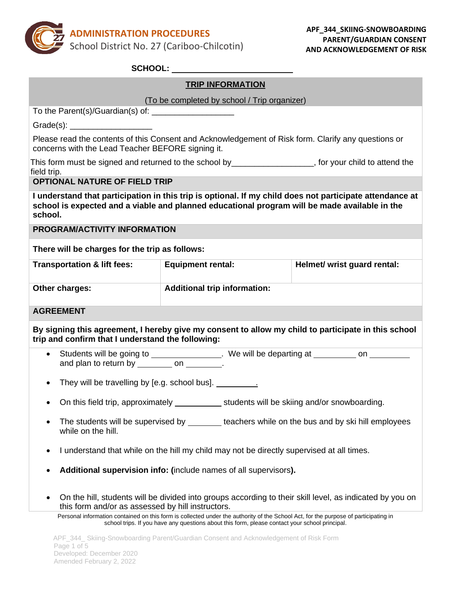

**SCHOOL:** 

# **TRIP INFORMATION**

| (To be completed by school / Trip organizer) |  |  |
|----------------------------------------------|--|--|
|----------------------------------------------|--|--|

To the Parent(s)/Guardian(s) of:

Grade(s):

Please read the contents of this Consent and Acknowledgement of Risk form. Clarify any questions or concerns with the Lead Teacher BEFORE signing it.

This form must be signed and returned to the school by\_\_\_\_\_\_\_\_\_\_\_\_\_\_\_\_\_, for your child to attend the field trip.

**OPTIONAL NATURE OF FIELD TRIP**

**I understand that participation in this trip is optional. If my child does not participate attendance at school is expected and a viable and planned educational program will be made available in the school.**

**PROGRAM/ACTIVITY INFORMATION**

**There will be charges for the trip as follows:** 

| <b>Transportation &amp; lift fees:</b> | <b>Equipment rental:</b>            | Helmet/ wrist guard rental: |
|----------------------------------------|-------------------------------------|-----------------------------|
| <b>Other charges:</b>                  | <b>Additional trip information:</b> |                             |

### **AGREEMENT**

**By signing this agreement, I hereby give my consent to allow my child to participate in this school trip and confirm that I understand the following:**

• Students will be going to \_\_\_\_\_\_\_\_\_\_\_\_\_\_\_. We will be departing at \_\_\_\_\_\_\_\_\_\_\_ on and plan to return by  $\frac{1}{\sqrt{1-\frac{1}{2}}}\cos \frac{2\pi}{\pi}$ .

• They will be travelling by [e.g. school bus]. \_\_\_\_\_\_\_\_\_\_\_.

- On this field trip, approximately students will be skiing and/or snowboarding.
- The students will be supervised by \_\_\_\_\_\_\_ teachers while on the bus and by ski hill employees while on the hill.
- I understand that while on the hill my child may not be directly supervised at all times.
- **Additional supervision info: (**include names of all supervisors**).**
- On the hill, students will be divided into groups according to their skill level, as indicated by you on this form and/or as assessed by hill instructors.

Personal information contained on this form is collected under the authority of the School Act, for the purpose of participating in school trips. If you have any questions about this form, please contact your school principal.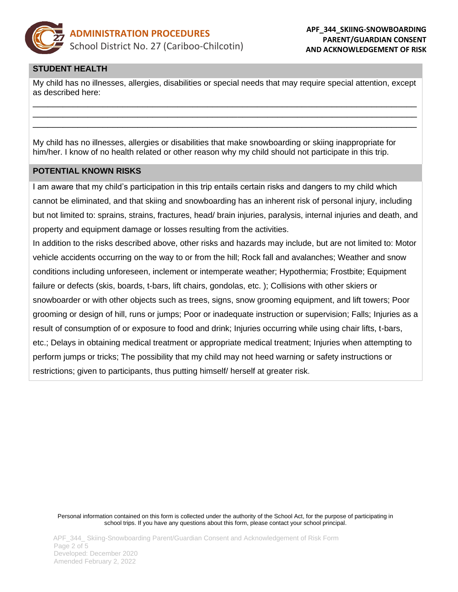

### **STUDENT HEALTH**

My child has no illnesses, allergies, disabilities or special needs that may require special attention, except as described here: \_\_\_\_\_\_\_\_\_\_\_\_\_\_\_\_\_\_\_\_\_\_\_\_\_\_\_\_\_\_\_\_\_\_\_\_\_\_\_\_\_\_\_\_\_\_\_\_\_\_\_\_\_\_\_\_\_\_\_\_\_\_\_\_\_\_\_\_\_\_\_\_\_\_\_\_\_

\_\_\_\_\_\_\_\_\_\_\_\_\_\_\_\_\_\_\_\_\_\_\_\_\_\_\_\_\_\_\_\_\_\_\_\_\_\_\_\_\_\_\_\_\_\_\_\_\_\_\_\_\_\_\_\_\_\_\_\_\_\_\_\_\_\_\_\_\_\_\_\_\_\_\_\_\_ \_\_\_\_\_\_\_\_\_\_\_\_\_\_\_\_\_\_\_\_\_\_\_\_\_\_\_\_\_\_\_\_\_\_\_\_\_\_\_\_\_\_\_\_\_\_\_\_\_\_\_\_\_\_\_\_\_\_\_\_\_\_\_\_\_\_\_\_\_\_\_\_\_\_\_\_\_

My child has no illnesses, allergies or disabilities that make snowboarding or skiing inappropriate for him/her. I know of no health related or other reason why my child should not participate in this trip.

#### **POTENTIAL KNOWN RISKS**

I am aware that my child's participation in this trip entails certain risks and dangers to my child which cannot be eliminated, and that skiing and snowboarding has an inherent risk of personal injury, including but not limited to: sprains, strains, fractures, head/ brain injuries, paralysis, internal injuries and death, and property and equipment damage or losses resulting from the activities.

In addition to the risks described above, other risks and hazards may include, but are not limited to: Motor vehicle accidents occurring on the way to or from the hill; Rock fall and avalanches; Weather and snow conditions including unforeseen, inclement or intemperate weather; Hypothermia; Frostbite; Equipment failure or defects (skis, boards, t-bars, lift chairs, gondolas, etc. ); Collisions with other skiers or snowboarder or with other objects such as trees, signs, snow grooming equipment, and lift towers; Poor grooming or design of hill, runs or jumps; Poor or inadequate instruction or supervision; Falls; Injuries as a result of consumption of or exposure to food and drink; Injuries occurring while using chair lifts, t-bars, etc.; Delays in obtaining medical treatment or appropriate medical treatment; Injuries when attempting to perform jumps or tricks; The possibility that my child may not heed warning or safety instructions or restrictions; given to participants, thus putting himself/ herself at greater risk.

Personal information contained on this form is collected under the authority of the School Act, for the purpose of participating in school trips. If you have any questions about this form, please contact your school principal.

APF\_344\_ Skiing-Snowboarding Parent/Guardian Consent and Acknowledgement of Risk Form Page 2 of 5 Developed: December 2020 Amended February 2, 2022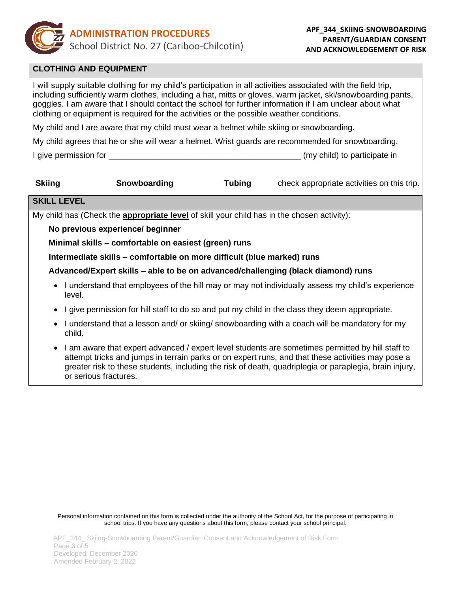

# **CLOTHING AND EQUIPMENT**

I will supply suitable clothing for my child's participation in all activities associated with the field trip, including sufficiently warm clothes, including a hat, mitts or gloves, warm jacket, ski/snowboarding pants, goggles. I am aware that I should contact the school for further information if I am unclear about what clothing or equipment is required for the activities or the possible weather conditions.

My child and I are aware that my child must wear a helmet while skiing or snowboarding.

My child agrees that he or she will wear a helmet. Wrist guards are recommended for snowboarding.

I give permission for **If all a set of the set of the set of the set of the set of the set of the set of the set of the set of the set of the set of the set of the set of the set of the set of the set of the set of the set** 

| <b>Skiing</b> | Snowboarding | Tubing | check appropriate activities on this trip. |
|---------------|--------------|--------|--------------------------------------------|
|---------------|--------------|--------|--------------------------------------------|

#### **SKILL LEVEL**

My child has (Check the **appropriate level** of skill your child has in the chosen activity):

 **No previous experience/ beginner** 

 **Minimal skills – comfortable on easiest (green) runs**

 **Intermediate skills – comfortable on more difficult (blue marked) runs**

 **Advanced/Expert skills – able to be on advanced/challenging (black diamond) runs**

- I understand that employees of the hill may or may not individually assess my child's experience level.
- I give permission for hill staff to do so and put my child in the class they deem appropriate.
- I understand that a lesson and/ or skiing/ snowboarding with a coach will be mandatory for my child.
- I am aware that expert advanced / expert level students are sometimes permitted by hill staff to attempt tricks and jumps in terrain parks or on expert runs, and that these activities may pose a greater risk to these students, including the risk of death, quadriplegia or paraplegia, brain injury, or serious fractures.

Personal information contained on this form is collected under the authority of the School Act, for the purpose of participating in school trips. If you have any questions about this form, please contact your school principal.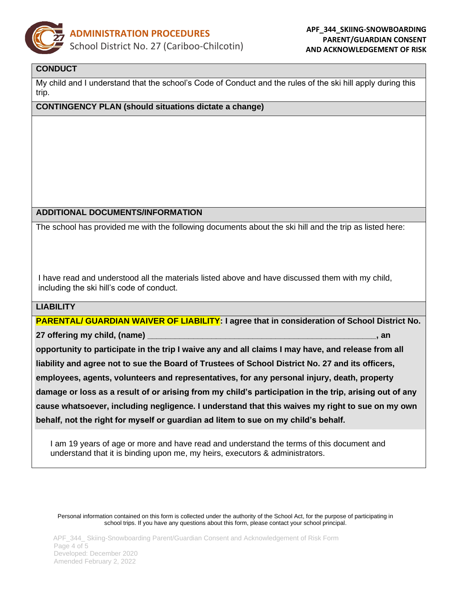

# **CONDUCT**

My child and I understand that the school's Code of Conduct and the rules of the ski hill apply during this trip.

# **CONTINGENCY PLAN (should situations dictate a change)**

## **ADDITIONAL DOCUMENTS/INFORMATION**

The school has provided me with the following documents about the ski hill and the trip as listed here:

I have read and understood all the materials listed above and have discussed them with my child, including the ski hill's code of conduct.

### **LIABILITY**

**PARENTAL/ GUARDIAN WAIVER OF LIABILITY: I agree that in consideration of School District No. 27 offering my child, (name) \_\_\_\_\_\_\_\_\_\_\_\_\_\_\_\_\_\_\_\_\_\_\_\_\_\_\_\_\_\_\_\_\_\_\_\_\_\_\_\_\_\_\_\_\_\_\_\_\_\_, an opportunity to participate in the trip I waive any and all claims I may have, and release from all liability and agree not to sue the Board of Trustees of School District No. 27 and its officers, employees, agents, volunteers and representatives, for any personal injury, death, property damage or loss as a result of or arising from my child's participation in the trip, arising out of any cause whatsoever, including negligence. I understand that this waives my right to sue on my own behalf, not the right for myself or guardian ad litem to sue on my child's behalf.**

I am 19 years of age or more and have read and understand the terms of this document and understand that it is binding upon me, my heirs, executors & administrators.

Personal information contained on this form is collected under the authority of the School Act, for the purpose of participating in school trips. If you have any questions about this form, please contact your school principal.

APF\_344\_ Skiing-Snowboarding Parent/Guardian Consent and Acknowledgement of Risk Form Page 4 of 5 Developed: December 2020 Amended February 2, 2022